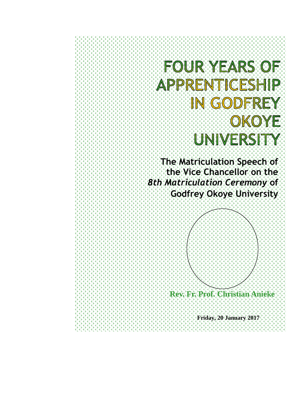## FOUR YEARS OF APPRENTICESHIP IN GODFREY OKOYE UNIVERSITY

**The Matriculation Speech of the Vice Chancellor on the**  *8th Matriculation Ceremony* **of Godfrey Okoye University**

**Rev. Fr. Prof. Christian Anieke**

**Friday, 20 January 2017**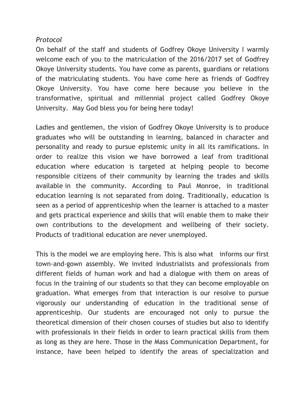## *Protocol*

On behalf of the staff and students of Godfrey Okoye University I warmly welcome each of you to the matriculation of the 2016/2017 set of Godfrey Okoye University students. You have come as parents, guardians or relations of the matriculating students. You have come here as friends of Godfrey Okoye University. You have come here because you believe in the transformative, spiritual and millennial project called Godfrey Okoye University. May God bless you for being here today!

Ladies and gentlemen, the vision of Godfrey Okoye University is to produce graduates who will be outstanding in learning, balanced in character and personality and ready to pursue epistemic unity in all its ramifications. In order to realize this vision we have borrowed a leaf from traditional education where education is targeted at helping people to become responsible citizens of their community by learning the trades and skills available in the community. According to Paul Monroe, in traditional education learning is not separated from doing. Traditionally, education is seen as a period of apprenticeship when the learner is attached to a master and gets practical experience and skills that will enable them to make their own contributions to the development and wellbeing of their society. Products of traditional education are never unemployed.

This is the model we are employing here. This is also what informs our first town-and-gown assembly. We invited industrialists and professionals from different fields of human work and had a dialogue with them on areas of focus in the training of our students so that they can become employable on graduation. What emerges from that interaction is our resolve to pursue vigorously our understanding of education in the traditional sense of apprenticeship. Our students are encouraged not only to pursue the theoretical dimension of their chosen courses of studies but also to identify with professionals in their fields in order to learn practical skills from them as long as they are here. Those in the Mass Communication Department, for instance, have been helped to identify the areas of specialization and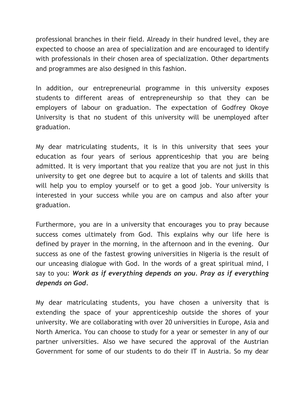professional branches in their field. Already in their hundred level, they are expected to choose an area of specialization and are encouraged to identify with professionals in their chosen area of specialization. Other departments and programmes are also designed in this fashion.

In addition, our entrepreneurial programme in this university exposes students to different areas of entrepreneurship so that they can be employers of labour on graduation. The expectation of Godfrey Okoye University is that no student of this university will be unemployed after graduation.

My dear matriculating students, it is in this university that sees your education as four years of serious apprenticeship that you are being admitted. It is very important that you realize that you are not just in this university to get one degree but to acquire a lot of talents and skills that will help you to employ yourself or to get a good job. Your university is interested in your success while you are on campus and also after your graduation.

Furthermore, you are in a university that encourages you to pray because success comes ultimately from God. This explains why our life here is defined by prayer in the morning, in the afternoon and in the evening. Our success as one of the fastest growing universities in Nigeria is the result of our unceasing dialogue with God. In the words of a great spiritual mind, I say to you: *Work as if everything depends on you. Pray as if everything depends on God.*

My dear matriculating students, you have chosen a university that is extending the space of your apprenticeship outside the shores of your university. We are collaborating with over 20 universities in Europe, Asia and North America. You can choose to study for a year or semester in any of our partner universities. Also we have secured the approval of the Austrian Government for some of our students to do their IT in Austria. So my dear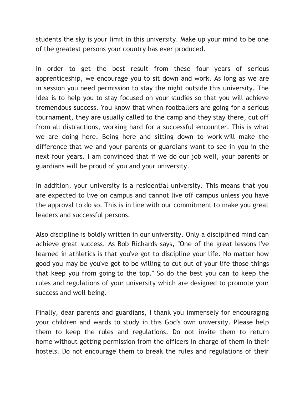students the sky is your limit in this university. Make up your mind to be one of the greatest persons your country has ever produced.

In order to get the best result from these four years of serious apprenticeship, we encourage you to sit down and work. As long as we are in session you need permission to stay the night outside this university. The idea is to help you to stay focused on your studies so that you will achieve tremendous success. You know that when footballers are going for a serious tournament, they are usually called to the camp and they stay there, cut off from all distractions, working hard for a successful encounter. This is what we are doing here. Being here and sitting down to work will make the difference that we and your parents or guardians want to see in you in the next four years. I am convinced that if we do our job well, your parents or guardians will be proud of you and your university.

In addition, your university is a residential university. This means that you are expected to live on campus and cannot live off campus unless you have the approval to do so. This is in line with our commitment to make you great leaders and successful persons.

Also discipline is boldly written in our university. Only a disciplined mind can achieve great success. As Bob Richards says, "One of the great lessons I've learned in athletics is that you've got to discipline your life. No matter how good you may be you've got to be willing to cut out of your life those things that keep you from going to the top." So do the best you can to keep the rules and regulations of your university which are designed to promote your success and well being.

Finally, dear parents and guardians, I thank you immensely for encouraging your children and wards to study in this God's own university. Please help them to keep the rules and regulations. Do not invite them to return home without getting permission from the officers in charge of them in their hostels. Do not encourage them to break the rules and regulations of their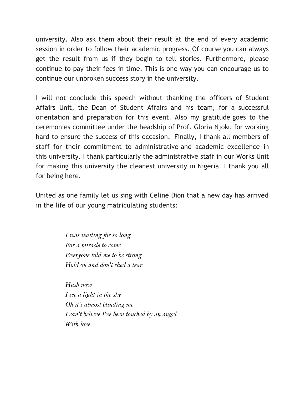university. Also ask them about their result at the end of every academic session in order to follow their academic progress. Of course you can always get the result from us if they begin to tell stories. Furthermore, please continue to pay their fees in time. This is one way you can encourage us to continue our unbroken success story in the university.

I will not conclude this speech without thanking the officers of Student Affairs Unit, the Dean of Student Affairs and his team, for a successful orientation and preparation for this event. Also my gratitude goes to the ceremonies committee under the headship of Prof. Gloria Njoku for working hard to ensure the success of this occasion. Finally, I thank all members of staff for their commitment to administrative and academic excellence in this university. I thank particularly the administrative staff in our Works Unit for making this university the cleanest university in Nigeria. I thank you all for being here.

United as one family let us sing with Celine Dion that a new day has arrived in the life of our young matriculating students:

> *I was waiting for so long For a miracle to come Everyone told me to be strong Hold on and don't shed a tear*

*Hush now I see a light in the sky Oh it's almost blinding me I can't believe I've been touched by an angel With love*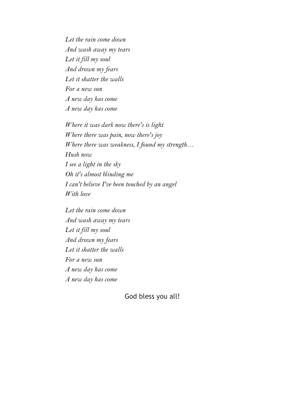*Let the rain come down And wash away my tears Let it fill my soul And drown my fears Let it shatter the walls For a new sun A new day has come A new day has come*

*Where it was dark now there's is light Where there was pain, now there's joy Where there was weakness, I found my strength… Hush now I see a light in the sky Oh it's almost blinding me I can't believe I've been touched by an angel With love*

*Let the rain come down And wash away my tears Let it fill my soul And drown my fears Let it shatter the walls For a new sun A new day has come A new day has come*

God bless you all!